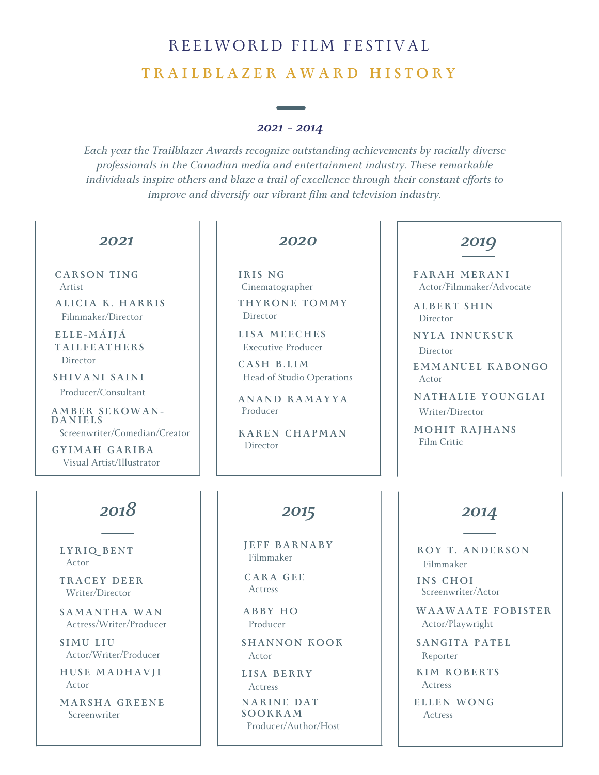# REELWORLD FILM FESTIVAL **T R A I L B L A Z E R A W A R D H I S T O R Y**

#### *2021 - 2014*

*Each year the Trailblazer Awards recognize outstanding achievements by racially diverse professionals in the Canadian media and entertainment industry. These remarkable individuals inspire others and blaze a trail of excellence through their constant ef orts to improve and diversify our vibrant film and television industry.*

#### *2021*

Artist **CARSON T I N G**

Filmmaker/Director **AL ICIA K. HARRI S**

Director **E L L E - MÁIJÁ TAI L F EATHERS**

Producer/Consultant  $SHIVANI$   $SAINI$ 

Screenwriter/Comedian/Creator **A MBER S EKOWA N - DA N I E L S**

Visual Artist/Illustrator **GYI MAH GARIBA**

# *2018 2015*

Actor **LYRIQ BE N T**

Writer/Director **TRACEY DE ER**

Actress/Writer/Producer **SA MA N THA WA N**

Actor/Writer/Producer **S I MU L IU**

Actor **HUS E MADHAVJI**

Screenwriter **MARSHA GRE E N E**

#### *2020*

Cinematographer **IRI S N G** Director **THYRON E TO MMY**

Executive Producer **L I SA ME ECHE S**

Head of Studio Operations **CASH B. L I M**

Producer **A N A N D RA MAYYA**

Director **KARE N CHAP MA N**

#### *2019*

Actor/Filmmaker/Advocate **FARAH MERA N I**

Director **ALBERT SHI N**

Director **N YLA I N N UKSUK**

Actor **E MMA N UE L KABON GO**

Writer/Director **N ATHAL I E YOU N GLAI**

Film Critic **MOHI T RAJHA N S**

Filmmaker **J E F F BAR N ABY**

Actress **CARA GE E**

Producer **ABBY HO**

Actor **SHA N NON KOOK**

Actress **L I SA BERRY**

Producer/Author/Host **N ARI N E DAT SOOKRA M**

#### *2014*

Filmmaker **ROY T . A N DERSON**

Screenwriter/Actor **I N S CHOI**

Actor/Playwright **WAAWAAT E FOBI S T ER**

Reporter **SA N GI TA PAT E L**

Actress **KI M ROBERT S**

**E L L E N WON G** Actress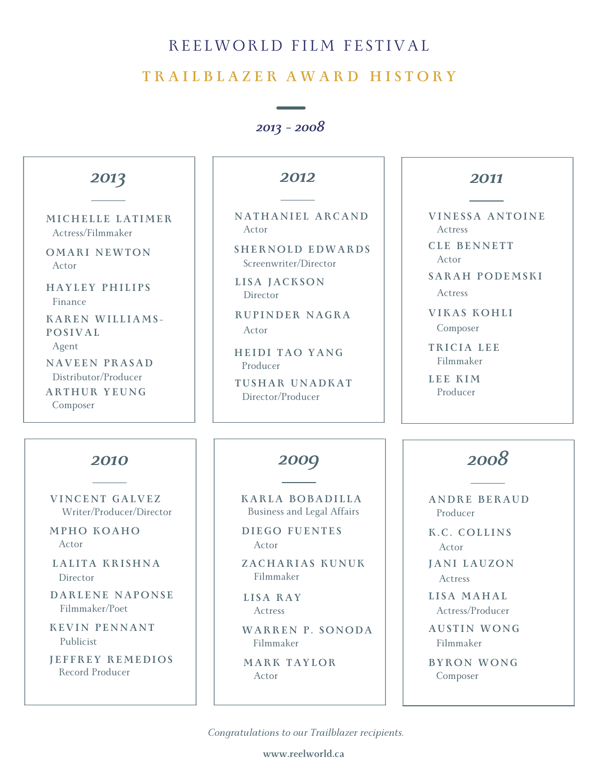### REELWORLD FILM FESTIVAL

#### **T R A I L B L A Z E R A W A R D H I S T O R Y**

*2013 - 2008*



**www.reelworld.ca**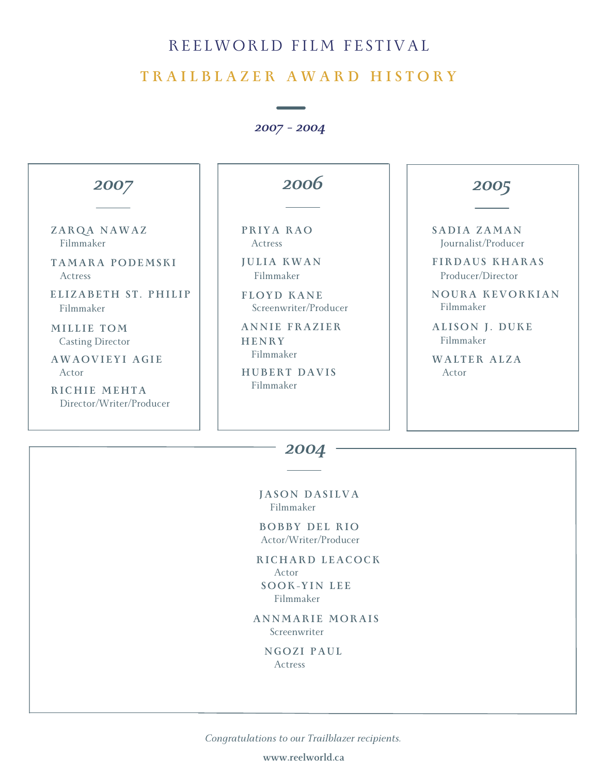## REELWORLD FILM FESTIVAL

#### **T R A I L B L A Z E R A W A R D H I S T O R Y**

*2007 - 2004*



*2004*

Filmmaker **JASON DAS I LVA**

Actor/Writer/Producer **BOBBY DE L RIO**

Actor **RICHARD L EACOCK** Filmmaker **SOOK-YI N L E E**

Screenwriter **A N N M ARI E M ORAI S**

Actress **N GOZ I PAUL**

*Congratulations to our Trailblazer recipients.*

**www.reelworld.ca**

#### *2005*

Journalist/Producer **SADIA ZA M A N**

Producer/Director **F IRDAUS KHARAS**

**NOURA KEVORKIA N**